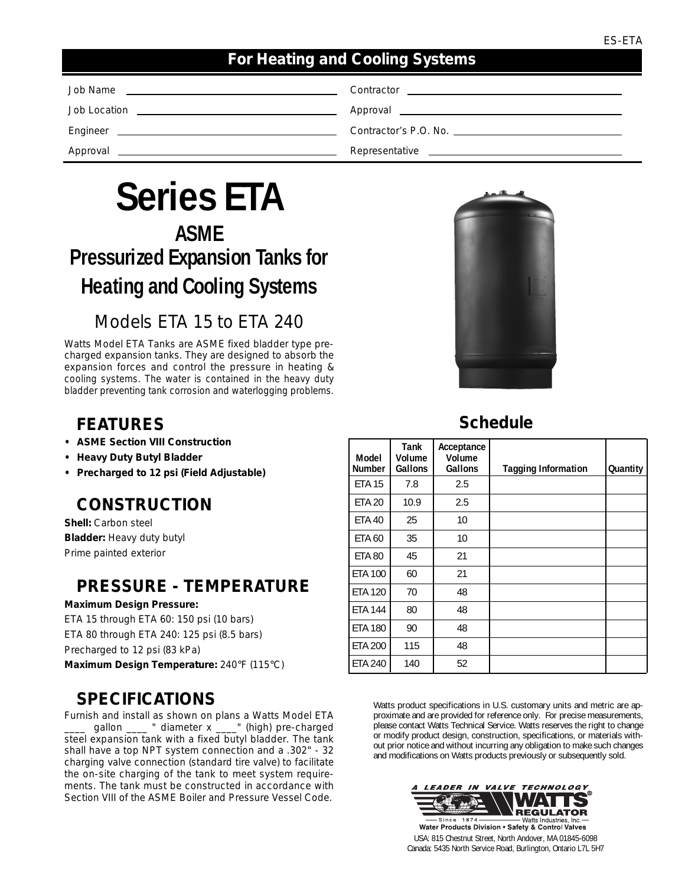#### *For Heating and Cooling Systems*

| Job Name<br><u> 1980 - Jan Samuel Barbara, margaret e</u> n 1980 eta eta eskualdean eta eskualdean eta eskualdean eta eskualdean                                                                                                   | Contractor<br><u> 1980 - Jan Samuel Barbara, martin a shekara 1980 - An tsara 1980 - An tsara 1980 - An tsara 1980 - An tsara</u>                                                                                                    |
|------------------------------------------------------------------------------------------------------------------------------------------------------------------------------------------------------------------------------------|--------------------------------------------------------------------------------------------------------------------------------------------------------------------------------------------------------------------------------------|
| Job Location<br><u> 1980 - John Harry Harry Harry Harry Harry Harry Harry Harry Harry Harry Harry Harry Harry Harry Harry Harry</u>                                                                                                | Approval <u>example and the series of the series of the series of the series of the series of the series of the series of the series of the series of the series of the series of the series of the series of the series of the </u> |
| Engineer<br><u> 1989 - Johann John Stein, mars and deutscher Stein († 1989)</u>                                                                                                                                                    | Contractor's P.O. No.                                                                                                                                                                                                                |
| Approval <u>experience</u> and the contract of the contract of the contract of the contract of the contract of the contract of the contract of the contract of the contract of the contract of the contract of the contract of the | Representative <u>example and the set of the set of the set of the set of the set of the set of the set of the set of the set of the set of the set of the set of the set of the set of the set of the set of the set of the set</u> |

# **Series ETA ASME**

# **Pressurized Expansion Tanks for Heating and Cooling Systems**

## Models ETA 15 to ETA 240

Watts Model ETA Tanks are ASME fixed bladder type precharged expansion tanks. They are designed to absorb the expansion forces and control the pressure in heating & cooling systems. The water is contained in the heavy duty bladder preventing tank corrosion and waterlogging problems.

## *FEATURES*

- *ASME Section VIII Construction*
- *Heavy Duty Butyl Bladder*
- *Precharged to 12 psi (Field Adjustable)*

### *CONSTRUCTION*

**Shell:** Carbon steel **Bladder:** Heavy duty butyl Prime painted exterior

#### *PRESSURE - TEMPERATURE*

**Maximum Design Pressure:** ETA 15 through ETA 60: 150 psi (10 bars) ETA 80 through ETA 240: 125 psi (8.5 bars) Precharged to 12 psi (83 kPa) **Maximum Design Temperature:** 240°F (115°C)

### *SPECIFICATIONS*

Furnish and install as shown on plans a Watts Model ETA gallon \_\_\_\_ " diameter x \_\_\_\_" (high) pre-charged steel expansion tank with a fixed butyl bladder. The tank shall have a top NPT system connection and a .302" - 32 charging valve connection (standard tire valve) to facilitate the on-site charging of the tank to meet system requirements. The tank must be constructed in accordance with Section VIII of the ASME Boiler and Pressure Vessel Code.



## *Schedule*

| Model<br><b>Number</b> | Tank<br>Volume<br>Gallons | Acceptance<br>Volume<br>Gallons | <b>Tagging Information</b> | Quantity |  |
|------------------------|---------------------------|---------------------------------|----------------------------|----------|--|
| <b>ETA 15</b>          | 7.8                       | 2.5                             |                            |          |  |
| <b>ETA 20</b>          | 10.9                      | 2.5                             |                            |          |  |
| <b>ETA 40</b>          | 25                        | 10                              |                            |          |  |
| <b>ETA 60</b>          | 35                        | 10                              |                            |          |  |
| <b>ETA 80</b>          | 45                        | 21                              |                            |          |  |
| <b>ETA 100</b>         | 60                        | 21                              |                            |          |  |
| <b>ETA 120</b>         | 70                        | 48                              |                            |          |  |
| <b>ETA 144</b>         | 80                        | 48                              |                            |          |  |
| <b>ETA 180</b>         | 90                        | 48                              |                            |          |  |
| <b>ETA 200</b>         | 115                       | 48                              |                            |          |  |
| <b>ETA 240</b>         | 140                       | 52                              |                            |          |  |

Watts product specifications in U.S. customary units and metric are approximate and are provided for reference only. For precise measurements, please contact Watts Technical Service. Watts reserves the right to change or modify product design, construction, specifications, or materials without prior notice and without incurring any obligation to make such changes and modifications on Watts products previously or subsequently sold.



Water Products Division . Safety & Control Valves USA: 815 Chestnut Street, North Andover, MA 01845-6098 Canada: 5435 North Service Road, Burlington, Ontario L7L 5H7